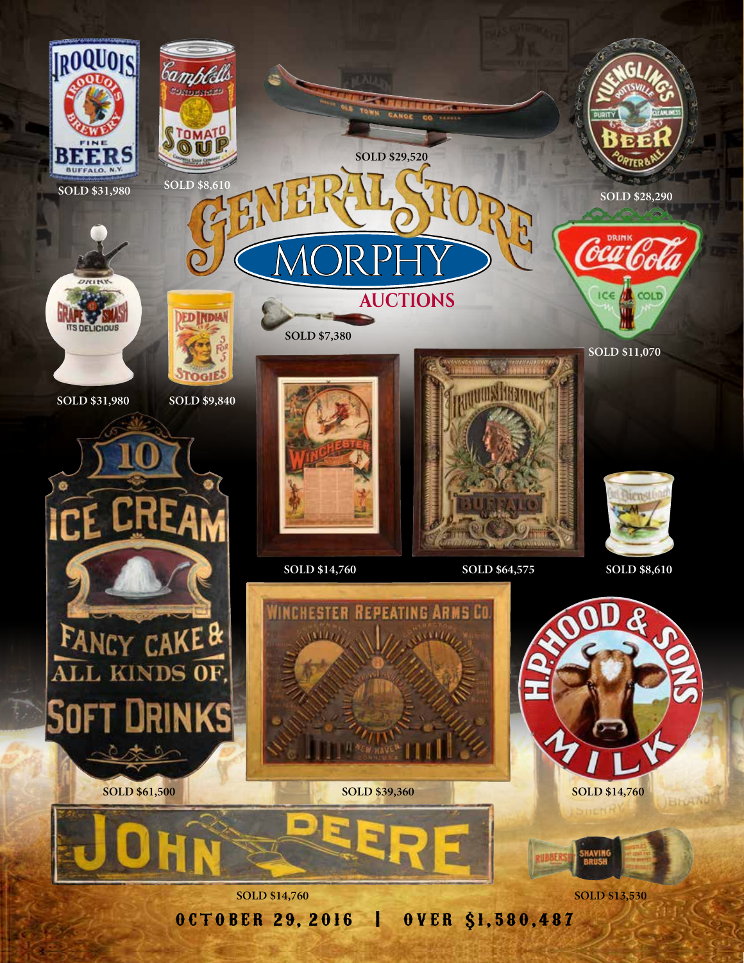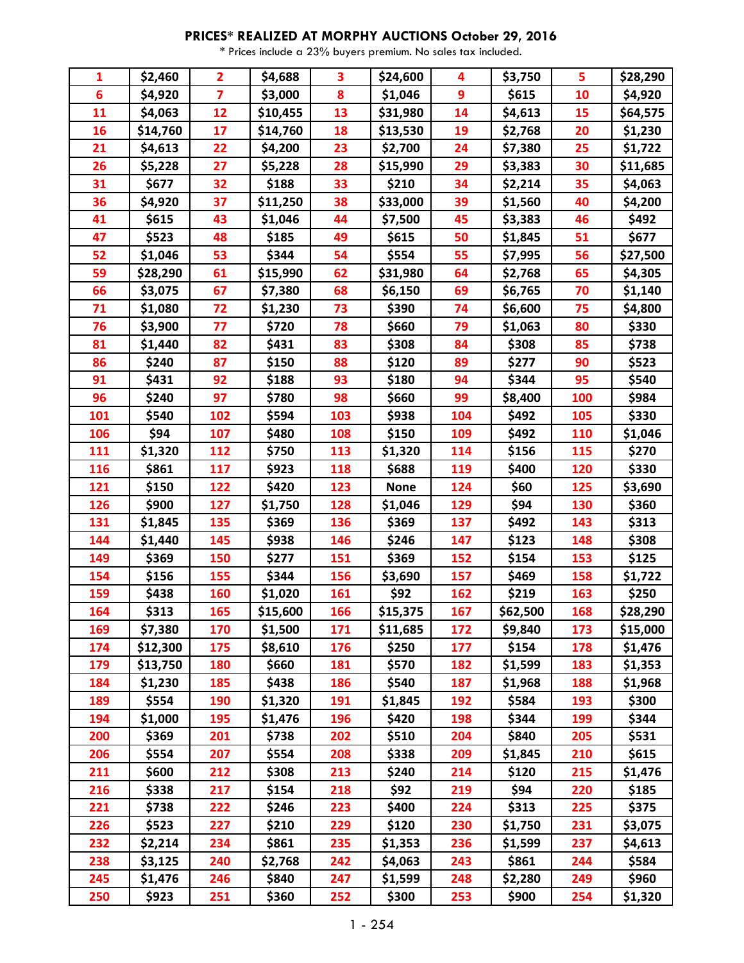| 1               | \$2,460  | $\overline{2}$ | \$4,688  | 3   | \$24,600    | 4   | \$3,750  | 5   | \$28,290 |
|-----------------|----------|----------------|----------|-----|-------------|-----|----------|-----|----------|
| $6\phantom{1}6$ | \$4,920  | $\overline{7}$ | \$3,000  | 8   | \$1,046     | 9   | \$615    | 10  | \$4,920  |
| 11              | \$4,063  | 12             | \$10,455 | 13  | \$31,980    | 14  | \$4,613  | 15  | \$64,575 |
| 16              | \$14,760 | 17             | \$14,760 | 18  | \$13,530    | 19  | \$2,768  | 20  | \$1,230  |
| 21              | \$4,613  | 22             | \$4,200  | 23  | \$2,700     | 24  | \$7,380  | 25  | \$1,722  |
| 26              | \$5,228  | 27             | \$5,228  | 28  | \$15,990    | 29  | \$3,383  | 30  | \$11,685 |
| 31              | \$677    | 32             | \$188    | 33  | \$210       | 34  | \$2,214  | 35  | \$4,063  |
| 36              | \$4,920  | 37             | \$11,250 | 38  | \$33,000    | 39  | \$1,560  | 40  | \$4,200  |
| 41              | \$615    | 43             | \$1,046  | 44  | \$7,500     | 45  | \$3,383  | 46  | \$492    |
| 47              | \$523    | 48             | \$185    | 49  | \$615       | 50  | \$1,845  | 51  | \$677    |
| 52              | \$1,046  | 53             | \$344    | 54  | \$554       | 55  | \$7,995  | 56  | \$27,500 |
| 59              | \$28,290 | 61             | \$15,990 | 62  | \$31,980    | 64  | \$2,768  | 65  | \$4,305  |
| 66              | \$3,075  | 67             | \$7,380  | 68  | \$6,150     | 69  | \$6,765  | 70  | \$1,140  |
| 71              | \$1,080  | 72             | \$1,230  | 73  | \$390       | 74  | \$6,600  | 75  | \$4,800  |
| 76              | \$3,900  | 77             | \$720    | 78  | \$660       | 79  | \$1,063  | 80  | \$330    |
| 81              | \$1,440  | 82             | \$431    | 83  | \$308       | 84  | \$308    | 85  | \$738    |
| 86              | \$240    | 87             | \$150    | 88  | \$120       | 89  | \$277    | 90  | \$523    |
| 91              | \$431    | 92             | \$188    | 93  | \$180       | 94  | \$344    | 95  | \$540    |
| 96              | \$240    | 97             | \$780    | 98  | \$660       | 99  | \$8,400  | 100 | \$984    |
| 101             | \$540    | 102            | \$594    | 103 | \$938       | 104 | \$492    | 105 | \$330    |
| 106             | \$94     | 107            | \$480    | 108 | \$150       | 109 | \$492    | 110 | \$1,046  |
| 111             | \$1,320  | 112            | \$750    | 113 | \$1,320     | 114 | \$156    | 115 | \$270    |
| 116             | \$861    | 117            | \$923    | 118 | \$688       | 119 | \$400    | 120 | \$330    |
| 121             | \$150    | 122            | \$420    | 123 | <b>None</b> | 124 | \$60     | 125 | \$3,690  |
| 126             | \$900    | 127            | \$1,750  | 128 | \$1,046     | 129 | \$94     | 130 | \$360    |
| 131             | \$1,845  | 135            | \$369    | 136 | \$369       | 137 | \$492    | 143 | \$313    |
| 144             | \$1,440  | 145            | \$938    | 146 | \$246       | 147 | \$123    | 148 | \$308    |
| 149             | \$369    | 150            | \$277    | 151 | \$369       | 152 | \$154    | 153 | \$125    |
| 154             | \$156    | 155            | \$344    | 156 | \$3,690     | 157 | \$469    | 158 | \$1,722  |
| 159             | \$438    | 160            | \$1,020  | 161 | \$92        | 162 | \$219    | 163 | \$250    |
| 164             | Ş313     | 165            | \$15,600 | 166 | \$15,375    | 167 | \$62,500 | 168 | \$28,290 |
| 169             | \$7,380  | 170            | \$1,500  | 171 | \$11,685    | 172 | \$9,840  | 173 | \$15,000 |
| 174             | \$12,300 | 175            | \$8,610  | 176 | \$250       | 177 | \$154    | 178 | \$1,476  |
| 179             | \$13,750 | 180            | \$660    | 181 | \$570       | 182 | \$1,599  | 183 | \$1,353  |
| 184             | \$1,230  | 185            | \$438    | 186 | \$540       | 187 | \$1,968  | 188 | \$1,968  |
| 189             | \$554    | 190            | \$1,320  | 191 | \$1,845     | 192 | \$584    | 193 | \$300    |
| 194             | \$1,000  | 195            | \$1,476  | 196 | \$420       | 198 | \$344    | 199 | \$344    |
| 200             | \$369    | 201            | \$738    | 202 | \$510       | 204 | \$840    | 205 | \$531    |
| 206             | \$554    | 207            | \$554    | 208 | \$338       | 209 | \$1,845  | 210 | \$615    |
| 211             | \$600    | 212            | \$308    | 213 | \$240       | 214 | \$120    | 215 | \$1,476  |
| 216             | \$338    | 217            | \$154    | 218 | \$92        | 219 | \$94     | 220 | \$185    |
| 221             | \$738    | 222            | \$246    | 223 | \$400       | 224 | \$313    | 225 | \$375    |
| 226             | \$523    | 227            | \$210    | 229 | \$120       | 230 | \$1,750  | 231 | \$3,075  |
| 232             | \$2,214  | 234            | \$861    | 235 | \$1,353     | 236 | \$1,599  | 237 | \$4,613  |
| 238             | \$3,125  | 240            | \$2,768  | 242 | \$4,063     | 243 | \$861    | 244 | \$584    |
| 245             | \$1,476  | 246            | \$840    | 247 | \$1,599     | 248 | \$2,280  | 249 | \$960    |
| 250             | \$923    | 251            | \$360    | 252 | \$300       | 253 | \$900    | 254 | \$1,320  |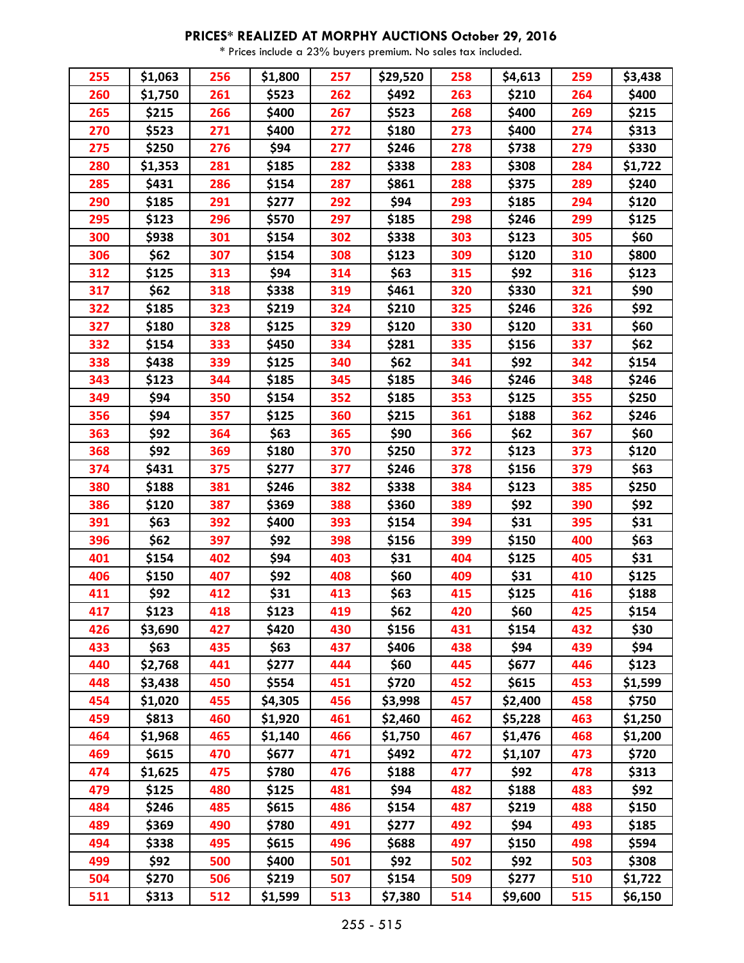| 255 | \$1,063 | 256 | \$1,800 | 257 | \$29,520 | 258 | \$4,613 | 259 | \$3,438 |
|-----|---------|-----|---------|-----|----------|-----|---------|-----|---------|
| 260 | \$1,750 | 261 | \$523   | 262 | \$492    | 263 | \$210   | 264 | \$400   |
| 265 | \$215   | 266 | \$400   | 267 | \$523    | 268 | \$400   | 269 | \$215   |
| 270 | \$523   | 271 | \$400   | 272 | \$180    | 273 | \$400   | 274 | \$313   |
| 275 | \$250   | 276 | \$94    | 277 | \$246    | 278 | \$738   | 279 | \$330   |
| 280 | \$1,353 | 281 | \$185   | 282 | \$338    | 283 | \$308   | 284 | \$1,722 |
| 285 | \$431   | 286 | \$154   | 287 | \$861    | 288 | \$375   | 289 | \$240   |
| 290 | \$185   | 291 | \$277   | 292 | \$94     | 293 | \$185   | 294 | \$120   |
| 295 | \$123   | 296 | \$570   | 297 | \$185    | 298 | \$246   | 299 | \$125   |
| 300 | \$938   | 301 | \$154   | 302 | \$338    | 303 | \$123   | 305 | \$60    |
| 306 | \$62    | 307 | \$154   | 308 | \$123    | 309 | \$120   | 310 | \$800   |
| 312 | \$125   | 313 | \$94    | 314 | \$63     | 315 | \$92    | 316 | \$123   |
| 317 | \$62    | 318 | \$338   | 319 | \$461    | 320 | \$330   | 321 | \$90    |
| 322 | \$185   | 323 | \$219   | 324 | \$210    | 325 | \$246   | 326 | \$92    |
| 327 | \$180   | 328 | \$125   | 329 | \$120    | 330 | \$120   | 331 | \$60    |
| 332 | \$154   | 333 | \$450   | 334 | \$281    | 335 | \$156   | 337 | \$62    |
| 338 | \$438   | 339 | \$125   | 340 | \$62     | 341 | \$92    | 342 | \$154   |
| 343 | \$123   | 344 | \$185   | 345 | \$185    | 346 | \$246   | 348 | \$246   |
| 349 | \$94    | 350 | \$154   | 352 | \$185    | 353 | \$125   | 355 | \$250   |
| 356 | \$94    | 357 | \$125   | 360 | \$215    | 361 | \$188   | 362 | \$246   |
| 363 | \$92    | 364 | \$63    | 365 | \$90     | 366 | \$62    | 367 | \$60    |
| 368 | \$92    | 369 | \$180   | 370 | \$250    | 372 | \$123   | 373 | \$120   |
| 374 | \$431   | 375 | \$277   | 377 | \$246    | 378 | \$156   | 379 | \$63    |
| 380 | \$188   | 381 | \$246   | 382 | \$338    | 384 | \$123   | 385 | \$250   |
| 386 | \$120   | 387 | \$369   | 388 | \$360    | 389 | \$92    | 390 | \$92    |
| 391 | \$63    | 392 | \$400   | 393 | \$154    | 394 | \$31    | 395 | \$31    |
| 396 | \$62    | 397 | \$92    | 398 | \$156    | 399 | \$150   | 400 | \$63    |
| 401 | \$154   | 402 | \$94    | 403 | \$31     | 404 | \$125   | 405 | \$31    |
| 406 | \$150   | 407 | \$92    | 408 | \$60     | 409 | \$31    | 410 | \$125   |
| 411 | \$92    | 412 | \$31    | 413 | \$63     | 415 | \$125   | 416 | \$188   |
| 417 | \$123   | 418 | \$123   | 419 | \$62     | 420 | \$60    | 425 | \$154   |
| 426 | \$3,690 | 427 | \$420   | 430 | \$156    | 431 | \$154   | 432 | \$30    |
| 433 | \$63    | 435 | \$63    | 437 | \$406    | 438 | \$94    | 439 | \$94    |
| 440 | \$2,768 | 441 | \$277   | 444 | \$60     | 445 | \$677   | 446 | \$123   |
| 448 | \$3,438 | 450 | \$554   | 451 | \$720    | 452 | \$615   | 453 | \$1,599 |
| 454 | \$1,020 | 455 | \$4,305 | 456 | \$3,998  | 457 | \$2,400 | 458 | \$750   |
| 459 | \$813   | 460 | \$1,920 | 461 | \$2,460  | 462 | \$5,228 | 463 | \$1,250 |
| 464 | \$1,968 | 465 | \$1,140 | 466 | \$1,750  | 467 | \$1,476 | 468 | \$1,200 |
| 469 | \$615   | 470 | \$677   | 471 | \$492    | 472 | \$1,107 | 473 | \$720   |
| 474 | \$1,625 | 475 | \$780   | 476 | \$188    | 477 | \$92    | 478 | \$313   |
| 479 | \$125   | 480 | \$125   | 481 | \$94     | 482 | \$188   | 483 | \$92    |
| 484 | \$246   | 485 | \$615   | 486 | \$154    | 487 | \$219   | 488 | \$150   |
| 489 | \$369   | 490 | \$780   | 491 | \$277    | 492 | \$94    | 493 | \$185   |
| 494 | \$338   | 495 | \$615   | 496 | \$688    | 497 | \$150   | 498 | \$594   |
| 499 | \$92    | 500 | \$400   | 501 | \$92     | 502 | \$92    | 503 | \$308   |
| 504 | \$270   | 506 | \$219   | 507 | \$154    | 509 | \$277   | 510 | \$1,722 |
| 511 | \$313   | 512 | \$1,599 | 513 | \$7,380  | 514 | \$9,600 | 515 | \$6,150 |
|     |         |     |         |     |          |     |         |     |         |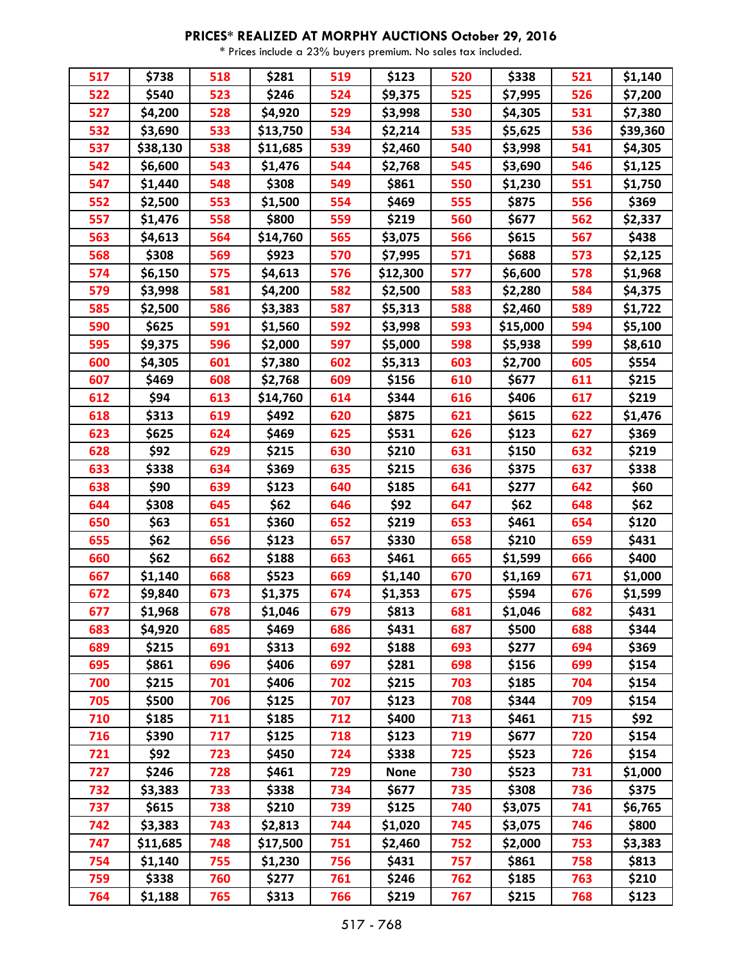| 517 | \$738    | 518 | \$281    | 519 | \$123       | 520 | \$338    | 521 | \$1,140  |
|-----|----------|-----|----------|-----|-------------|-----|----------|-----|----------|
| 522 | \$540    | 523 | \$246    | 524 | \$9,375     | 525 | \$7,995  | 526 | \$7,200  |
| 527 | \$4,200  | 528 | \$4,920  | 529 | \$3,998     | 530 | \$4,305  | 531 | \$7,380  |
| 532 | \$3,690  | 533 | \$13,750 | 534 | \$2,214     | 535 | \$5,625  | 536 | \$39,360 |
| 537 | \$38,130 | 538 | \$11,685 | 539 | \$2,460     | 540 | \$3,998  | 541 | \$4,305  |
| 542 | \$6,600  | 543 | \$1,476  | 544 | \$2,768     | 545 | \$3,690  | 546 | \$1,125  |
| 547 | \$1,440  | 548 | \$308    | 549 | \$861       | 550 | \$1,230  | 551 | \$1,750  |
| 552 | \$2,500  | 553 | \$1,500  | 554 | \$469       | 555 | \$875    | 556 | \$369    |
| 557 | \$1,476  | 558 | \$800    | 559 | \$219       | 560 | \$677    | 562 | \$2,337  |
| 563 | \$4,613  | 564 | \$14,760 | 565 | \$3,075     | 566 | \$615    | 567 | \$438    |
| 568 | \$308    | 569 | \$923    | 570 | \$7,995     | 571 | \$688    | 573 | \$2,125  |
| 574 | \$6,150  | 575 | \$4,613  | 576 | \$12,300    | 577 | \$6,600  | 578 | \$1,968  |
| 579 | \$3,998  | 581 | \$4,200  | 582 | \$2,500     | 583 | \$2,280  | 584 | \$4,375  |
| 585 | \$2,500  | 586 | \$3,383  | 587 | \$5,313     | 588 | \$2,460  | 589 | \$1,722  |
| 590 | \$625    | 591 | \$1,560  | 592 | \$3,998     | 593 | \$15,000 | 594 | \$5,100  |
| 595 | \$9,375  | 596 | \$2,000  | 597 | \$5,000     | 598 | \$5,938  | 599 | \$8,610  |
| 600 | \$4,305  | 601 | \$7,380  | 602 | \$5,313     | 603 | \$2,700  | 605 | \$554    |
| 607 | \$469    | 608 | \$2,768  | 609 | \$156       | 610 | \$677    | 611 | \$215    |
| 612 | \$94     | 613 | \$14,760 | 614 | \$344       | 616 | \$406    | 617 | \$219    |
| 618 | \$313    | 619 | \$492    | 620 | \$875       | 621 | \$615    | 622 | \$1,476  |
| 623 | \$625    | 624 | \$469    | 625 | \$531       | 626 | \$123    | 627 | \$369    |
| 628 | \$92     | 629 | \$215    | 630 | \$210       | 631 | \$150    | 632 | \$219    |
| 633 | \$338    | 634 | \$369    | 635 | \$215       | 636 | \$375    | 637 | \$338    |
| 638 | \$90     | 639 | \$123    | 640 | \$185       | 641 | \$277    | 642 | \$60     |
| 644 | \$308    | 645 | \$62     | 646 | \$92        | 647 | \$62     | 648 | \$62     |
| 650 | \$63     | 651 | \$360    | 652 | \$219       | 653 | \$461    | 654 | \$120    |
| 655 | \$62     | 656 | \$123    | 657 | \$330       | 658 | \$210    | 659 | \$431    |
| 660 | \$62     | 662 | \$188    | 663 | \$461       | 665 | \$1,599  | 666 | \$400    |
| 667 | \$1,140  | 668 | \$523    | 669 | \$1,140     | 670 | \$1,169  | 671 | \$1,000  |
| 672 | \$9,840  | 673 | \$1,375  | 674 | \$1,353     | 675 | \$594    | 676 | \$1,599  |
| 677 | \$1,968  | 678 | \$1,046  | 679 | \$813       | 681 | \$1,046  | 682 | \$431    |
| 683 | \$4,920  | 685 | \$469    | 686 | \$431       | 687 | \$500    | 688 | \$344    |
| 689 | \$215    | 691 | \$313    | 692 | \$188       | 693 | \$277    | 694 | \$369    |
| 695 | \$861    | 696 | \$406    | 697 | \$281       | 698 | \$156    | 699 | \$154    |
| 700 | \$215    | 701 | \$406    | 702 | \$215       | 703 | \$185    | 704 | \$154    |
| 705 | \$500    | 706 | \$125    | 707 | \$123       | 708 | \$344    | 709 | \$154    |
| 710 | \$185    | 711 | \$185    | 712 | \$400       | 713 | \$461    | 715 | \$92     |
| 716 | \$390    | 717 | \$125    | 718 | \$123       | 719 | \$677    | 720 | \$154    |
| 721 | \$92     | 723 | \$450    | 724 | \$338       | 725 | \$523    | 726 | \$154    |
| 727 | \$246    | 728 | \$461    | 729 | <b>None</b> | 730 | \$523    | 731 | \$1,000  |
| 732 | \$3,383  | 733 | \$338    | 734 | \$677       | 735 | \$308    | 736 | \$375    |
| 737 | \$615    | 738 | \$210    | 739 | \$125       | 740 | \$3,075  | 741 | \$6,765  |
| 742 | \$3,383  | 743 | \$2,813  | 744 | \$1,020     | 745 | \$3,075  | 746 | \$800    |
| 747 | \$11,685 | 748 | \$17,500 | 751 | \$2,460     | 752 | \$2,000  | 753 | \$3,383  |
| 754 | \$1,140  | 755 | \$1,230  | 756 | \$431       | 757 | \$861    | 758 | \$813    |
| 759 | \$338    | 760 | \$277    | 761 | \$246       | 762 | \$185    | 763 | \$210    |
| 764 | \$1,188  | 765 | \$313    | 766 | \$219       | 767 | \$215    | 768 | \$123    |